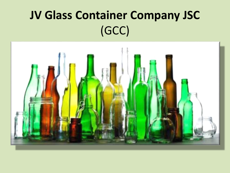# **JV Glass Container Company JSC** (GCC)

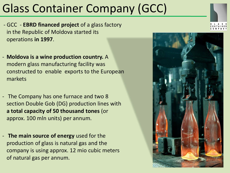# Glass Container Company (GCC)

- GCC **EBRD financed project** of a glass factory in the Republic of Moldova started its operations **in 1997**.
- **Moldova is a wine production country.** A modern glass manufacturing facility was constructed to enable exports to the European markets
- The Company has one furnace and two 8 section Double Gob (DG) production lines with **a total capacity of 50 thousand tones** (or approx. 100 mln units) per annum.
- **The main source of energy** used for the production of glass is natural gas and the company is using approx. 12 mio cubic meters of natural gas per annum.



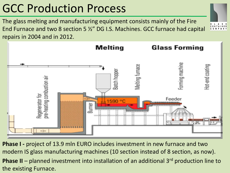# GCC Production Process

the existing Furnace.

The glass melting and manufacturing equipment consists mainly of the Fire End Furnace and two 8 section 5 ½" DG I.S. Machines. GCC furnace had capital repairs in 2004 and in 2012.



**Phase I -** project of 13.9 mln EURO includes investment in new furnace and two modern IS glass manufacturing machines (10 section instead of 8 section, as now). **Phase II** – planned investment into installation of an additional 3<sup>rd</sup> production line to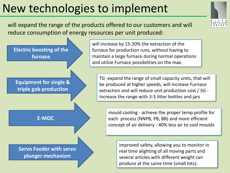# New technologies to implement

will expand the range of the products offered to our customers and will reduce consumption of energy resources per unit produced:



will increase by 15-20% the extraction of the furnace for production runs, without having to maintain a large furnace during normal operations and utilize Furnace possibilities on the max.

TG -expand the range of small capacity units, that will be produced at higher speeds, will increase Furnace extraction and will reduce unit production cost / SG increase the range with 3-5 litter bottles and jars

mould cooling - achieve the proper temp profile for each process (NNPB, PB, BB) and more efficient concept of air delivery - 40% less air to cool moulds

improved safety, allowing you to monitor in real time alighting of all moving parts and several articles with different weight can produce at the same time (small lots).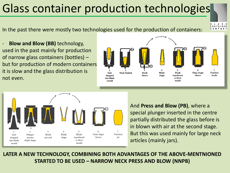# Glass container production technologies

In the past there were mostly two technologies used for the production of containers:

**Blow and Blow (BB)** technology, used in the past mainly for production of narrow glass containers (bottles) – but for production of modern containers it is slow and the glass distribution is not even.





And **Press and Blow (PB)**, where a special plunger inserted in the centre partially distributed the glass before is in blown with air at the second stage. But this was used mainly for large neck articles (mainly jars).

**LATER A NEW TECHNOLOGY, COMBINING BOTH ADVANTAGES OF THE ABOVE-MENTNIONED STARTED TO BE USED – NARROW NECK PRESS AND BLOW (NNPB)**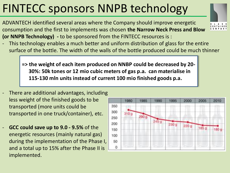# FINTECC sponsors NNPB technology

ADVANTECH identified several areas where the Company should improve energetic consumption and the first to implements was chosen **the Narrow Neck Press and Blow (or NNPB Technology) -** to be sponsored from the FINTECC resources is :



This technology enables a much better and uniform distribution of glass for the entire surface of the bottle. The width of the walls of the bottle produced could be much thinner

**=> the weight of each item produced on NNBP could be decreased by 20- 30%: 50k tones or 12 mio cubic meters of gas p.a. can materialise in 115-130 mln units instead of current 100 mio finished goods p.a.**

- There are additional advantages, including less weight of the finished goods to be transported (more units could be transported in one truck/container), etc.
- **GCC could save up to 9.0 - 9.5%** of the energetic resources (mainly natural gas) during the implementation of the Phase I, and a total up to 15% after the Phase II is implemented.

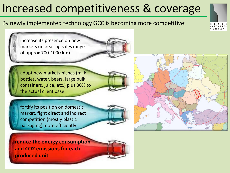### Increased competitiveness & coverage

#### By newly implemented technology GCC is becoming more competitive:

increase its presence on new markets (increasing sales range of approx 700-1000 km)

adopt new markets niches (milk bottles, water, beers, large bulk containers, juice, etc.) plus 30% to the actual client base

fortify its position on domestic market, fight direct and indirect competition (mostly plastic packaging) more efficiently



**reduce the energy consumption and CO2 emissions for each produced unit**

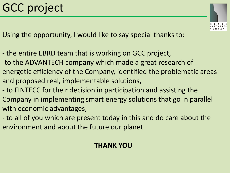# GCC project



Using the opportunity, I would like to say special thanks to:

- the entire EBRD team that is working on GCC project,
- -to the ADVANTECH company which made a great research of energetic efficiency of the Company, identified the problematic areas and proposed real, implementable solutions,
- to FINTECC for their decision in participation and assisting the Company in implementing smart energy solutions that go in parallel with economic advantages,
- to all of you which are present today in this and do care about the environment and about the future our planet

#### **THANK YOU**